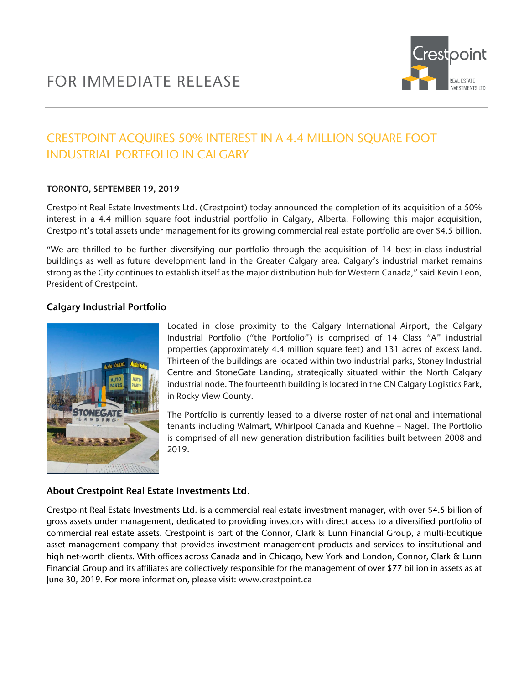

# CRESTPOINT ACQUIRES 50% INTEREST IN A 4.4 MILLION SQUARE FOOT INDUSTRIAL PORTFOLIO IN CALGARY

#### TORONTO, SEPTEMBER 19, 2019

Crestpoint Real Estate Investments Ltd. (Crestpoint) today announced the completion of its acquisition of a 50% interest in a 4.4 million square foot industrial portfolio in Calgary, Alberta. Following this major acquisition, Crestpoint's total assets under management for its growing commercial real estate portfolio are over \$4.5 billion.

"We are thrilled to be further diversifying our portfolio through the acquisition of 14 best-in-class industrial buildings as well as future development land in the Greater Calgary area. Calgary's industrial market remains strong as the City continues to establish itself as the major distribution hub for Western Canada," said Kevin Leon, President of Crestpoint.

#### Calgary Industrial Portfolio



Located in close proximity to the Calgary International Airport, the Calgary Industrial Portfolio ("the Portfolio") is comprised of 14 Class "A" industrial properties (approximately 4.4 million square feet) and 131 acres of excess land. Thirteen of the buildings are located within two industrial parks, Stoney Industrial Centre and StoneGate Landing, strategically situated within the North Calgary industrial node. The fourteenth building is located in the CN Calgary Logistics Park, in Rocky View County.

The Portfolio is currently leased to a diverse roster of national and international tenants including Walmart, Whirlpool Canada and Kuehne + Nagel. The Portfolio is comprised of all new generation distribution facilities built between 2008 and 2019.

### About Crestpoint Real Estate Investments Ltd.

Crestpoint Real Estate Investments Ltd. is a commercial real estate investment manager, with over \$4.5 billion of gross assets under management, dedicated to providing investors with direct access to a diversified portfolio of commercial real estate assets. Crestpoint is part of the Connor, Clark & Lunn Financial Group, a multi-boutique asset management company that provides investment management products and services to institutional and high net-worth clients. With offices across Canada and in Chicago, New York and London, Connor, Clark & Lunn Financial Group and its affiliates are collectively responsible for the management of over \$77 billion in assets as at June 30, 2019. For more information, please visit: [www.crestpoint.ca](http://www.crestpoint.ca/)